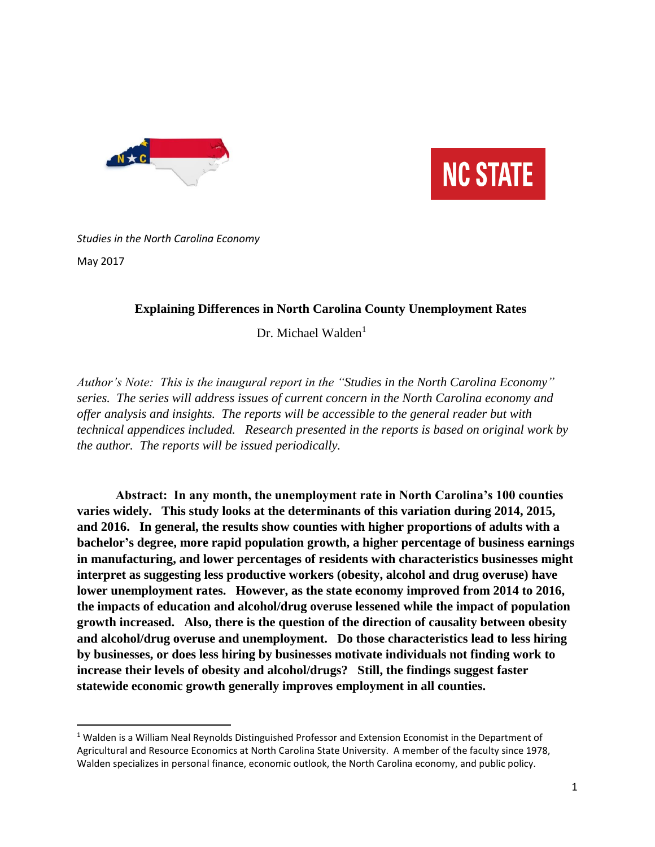



## *Studies in the North Carolina Economy*  May 2017

 $\overline{\phantom{a}}$ 

### **Explaining Differences in North Carolina County Unemployment Rates**

Dr. Michael Walden<sup>1</sup>

*Author's Note: This is the inaugural report in the "Studies in the North Carolina Economy" series. The series will address issues of current concern in the North Carolina economy and offer analysis and insights. The reports will be accessible to the general reader but with technical appendices included. Research presented in the reports is based on original work by the author. The reports will be issued periodically.*

**Abstract: In any month, the unemployment rate in North Carolina's 100 counties varies widely. This study looks at the determinants of this variation during 2014, 2015, and 2016. In general, the results show counties with higher proportions of adults with a bachelor's degree, more rapid population growth, a higher percentage of business earnings in manufacturing, and lower percentages of residents with characteristics businesses might interpret as suggesting less productive workers (obesity, alcohol and drug overuse) have lower unemployment rates. However, as the state economy improved from 2014 to 2016, the impacts of education and alcohol/drug overuse lessened while the impact of population growth increased. Also, there is the question of the direction of causality between obesity and alcohol/drug overuse and unemployment. Do those characteristics lead to less hiring by businesses, or does less hiring by businesses motivate individuals not finding work to increase their levels of obesity and alcohol/drugs? Still, the findings suggest faster statewide economic growth generally improves employment in all counties.**

<sup>&</sup>lt;sup>1</sup> Walden is a William Neal Reynolds Distinguished Professor and Extension Economist in the Department of Agricultural and Resource Economics at North Carolina State University. A member of the faculty since 1978, Walden specializes in personal finance, economic outlook, the North Carolina economy, and public policy.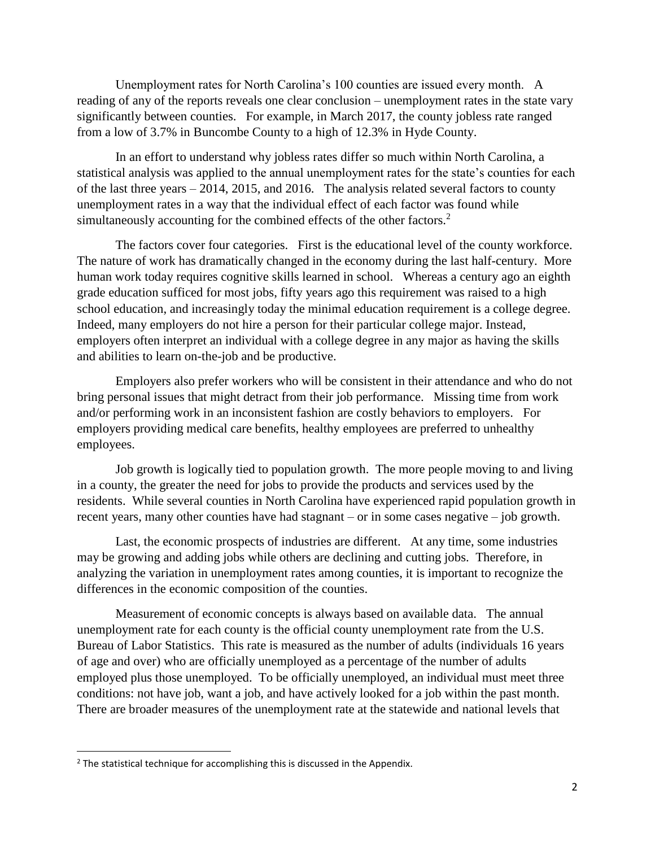Unemployment rates for North Carolina's 100 counties are issued every month. A reading of any of the reports reveals one clear conclusion – unemployment rates in the state vary significantly between counties. For example, in March 2017, the county jobless rate ranged from a low of 3.7% in Buncombe County to a high of 12.3% in Hyde County.

In an effort to understand why jobless rates differ so much within North Carolina, a statistical analysis was applied to the annual unemployment rates for the state's counties for each of the last three years – 2014, 2015, and 2016. The analysis related several factors to county unemployment rates in a way that the individual effect of each factor was found while simultaneously accounting for the combined effects of the other factors.<sup>2</sup>

The factors cover four categories. First is the educational level of the county workforce. The nature of work has dramatically changed in the economy during the last half-century. More human work today requires cognitive skills learned in school. Whereas a century ago an eighth grade education sufficed for most jobs, fifty years ago this requirement was raised to a high school education, and increasingly today the minimal education requirement is a college degree. Indeed, many employers do not hire a person for their particular college major. Instead, employers often interpret an individual with a college degree in any major as having the skills and abilities to learn on-the-job and be productive.

Employers also prefer workers who will be consistent in their attendance and who do not bring personal issues that might detract from their job performance. Missing time from work and/or performing work in an inconsistent fashion are costly behaviors to employers. For employers providing medical care benefits, healthy employees are preferred to unhealthy employees.

Job growth is logically tied to population growth. The more people moving to and living in a county, the greater the need for jobs to provide the products and services used by the residents. While several counties in North Carolina have experienced rapid population growth in recent years, many other counties have had stagnant – or in some cases negative – job growth.

Last, the economic prospects of industries are different. At any time, some industries may be growing and adding jobs while others are declining and cutting jobs. Therefore, in analyzing the variation in unemployment rates among counties, it is important to recognize the differences in the economic composition of the counties.

Measurement of economic concepts is always based on available data. The annual unemployment rate for each county is the official county unemployment rate from the U.S. Bureau of Labor Statistics. This rate is measured as the number of adults (individuals 16 years of age and over) who are officially unemployed as a percentage of the number of adults employed plus those unemployed. To be officially unemployed, an individual must meet three conditions: not have job, want a job, and have actively looked for a job within the past month. There are broader measures of the unemployment rate at the statewide and national levels that

 $\overline{\phantom{a}}$ 

<sup>&</sup>lt;sup>2</sup> The statistical technique for accomplishing this is discussed in the Appendix.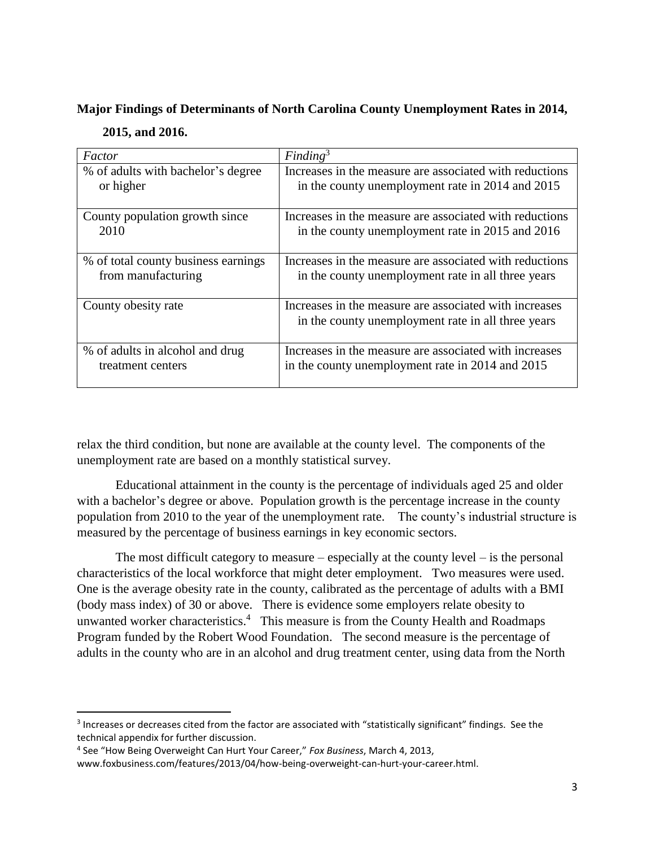# **Major Findings of Determinants of North Carolina County Unemployment Rates in 2014, 2015, and 2016.**

| Factor                              | Finding <sup>3</sup>                                                                                         |
|-------------------------------------|--------------------------------------------------------------------------------------------------------------|
| % of adults with bachelor's degree  | Increases in the measure are associated with reductions                                                      |
| or higher                           | in the county unemployment rate in 2014 and 2015                                                             |
| County population growth since      | Increases in the measure are associated with reductions                                                      |
| 2010                                | in the county unemployment rate in 2015 and 2016                                                             |
| % of total county business earnings | Increases in the measure are associated with reductions                                                      |
| from manufacturing                  | in the county unemployment rate in all three years                                                           |
| County obesity rate                 | Increases in the measure are associated with increases<br>in the county unemployment rate in all three years |
| % of adults in alcohol and drug     | Increases in the measure are associated with increases                                                       |
| treatment centers                   | in the county unemployment rate in 2014 and 2015                                                             |

relax the third condition, but none are available at the county level. The components of the unemployment rate are based on a monthly statistical survey.

Educational attainment in the county is the percentage of individuals aged 25 and older with a bachelor's degree or above. Population growth is the percentage increase in the county population from 2010 to the year of the unemployment rate. The county's industrial structure is measured by the percentage of business earnings in key economic sectors.

The most difficult category to measure  $-$  especially at the county level  $-$  is the personal characteristics of the local workforce that might deter employment. Two measures were used. One is the average obesity rate in the county, calibrated as the percentage of adults with a BMI (body mass index) of 30 or above. There is evidence some employers relate obesity to unwanted worker characteristics.<sup>4</sup> This measure is from the County Health and Roadmaps Program funded by the Robert Wood Foundation. The second measure is the percentage of adults in the county who are in an alcohol and drug treatment center, using data from the North

 $\overline{a}$ 

 $3$  Increases or decreases cited from the factor are associated with "statistically significant" findings. See the technical appendix for further discussion.

<sup>4</sup> See "How Being Overweight Can Hurt Your Career," *Fox Business*, March 4, 2013,

www.foxbusiness.com/features/2013/04/how-being-overweight-can-hurt-your-career.html.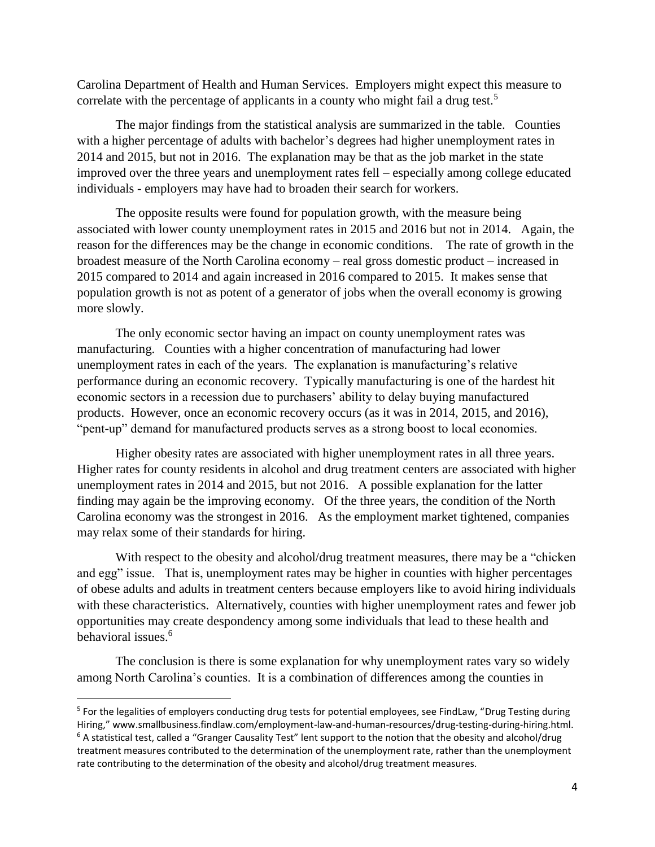Carolina Department of Health and Human Services. Employers might expect this measure to correlate with the percentage of applicants in a county who might fail a drug test.<sup>5</sup>

The major findings from the statistical analysis are summarized in the table. Counties with a higher percentage of adults with bachelor's degrees had higher unemployment rates in 2014 and 2015, but not in 2016. The explanation may be that as the job market in the state improved over the three years and unemployment rates fell – especially among college educated individuals - employers may have had to broaden their search for workers.

The opposite results were found for population growth, with the measure being associated with lower county unemployment rates in 2015 and 2016 but not in 2014. Again, the reason for the differences may be the change in economic conditions. The rate of growth in the broadest measure of the North Carolina economy – real gross domestic product – increased in 2015 compared to 2014 and again increased in 2016 compared to 2015. It makes sense that population growth is not as potent of a generator of jobs when the overall economy is growing more slowly.

The only economic sector having an impact on county unemployment rates was manufacturing. Counties with a higher concentration of manufacturing had lower unemployment rates in each of the years. The explanation is manufacturing's relative performance during an economic recovery. Typically manufacturing is one of the hardest hit economic sectors in a recession due to purchasers' ability to delay buying manufactured products. However, once an economic recovery occurs (as it was in 2014, 2015, and 2016), "pent-up" demand for manufactured products serves as a strong boost to local economies.

Higher obesity rates are associated with higher unemployment rates in all three years. Higher rates for county residents in alcohol and drug treatment centers are associated with higher unemployment rates in 2014 and 2015, but not 2016. A possible explanation for the latter finding may again be the improving economy. Of the three years, the condition of the North Carolina economy was the strongest in 2016. As the employment market tightened, companies may relax some of their standards for hiring.

With respect to the obesity and alcohol/drug treatment measures, there may be a "chicken and egg" issue. That is, unemployment rates may be higher in counties with higher percentages of obese adults and adults in treatment centers because employers like to avoid hiring individuals with these characteristics. Alternatively, counties with higher unemployment rates and fewer job opportunities may create despondency among some individuals that lead to these health and behavioral issues.<sup>6</sup>

The conclusion is there is some explanation for why unemployment rates vary so widely among North Carolina's counties. It is a combination of differences among the counties in

 $\overline{\phantom{a}}$ 

<sup>&</sup>lt;sup>5</sup> For the legalities of employers conducting drug tests for potential employees, see FindLaw, "Drug Testing during Hiring," www.smallbusiness.findlaw.com/employment-law-and-human-resources/drug-testing-during-hiring.html.  $6$  A statistical test, called a "Granger Causality Test" lent support to the notion that the obesity and alcohol/drug treatment measures contributed to the determination of the unemployment rate, rather than the unemployment rate contributing to the determination of the obesity and alcohol/drug treatment measures.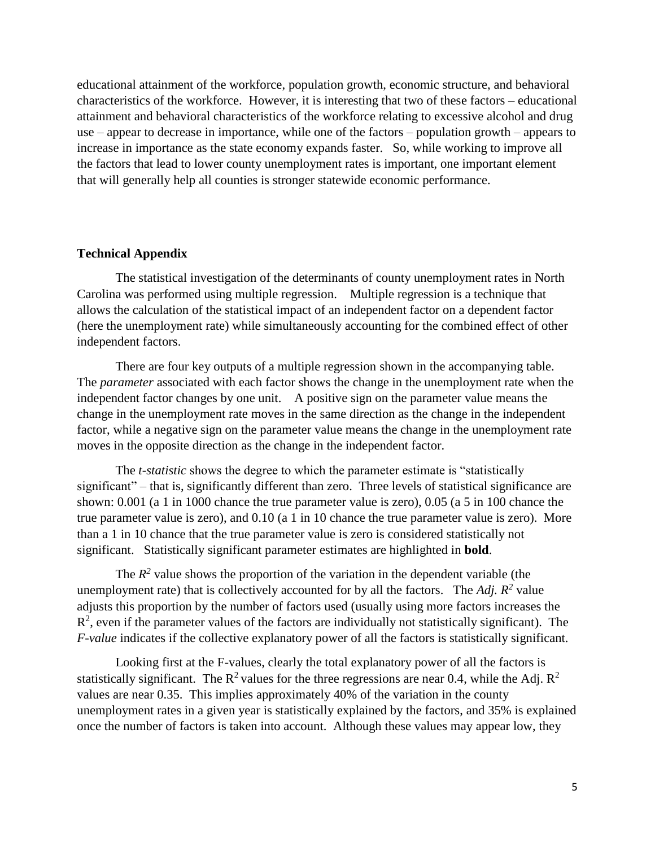educational attainment of the workforce, population growth, economic structure, and behavioral characteristics of the workforce. However, it is interesting that two of these factors – educational attainment and behavioral characteristics of the workforce relating to excessive alcohol and drug use – appear to decrease in importance, while one of the factors – population growth – appears to increase in importance as the state economy expands faster. So, while working to improve all the factors that lead to lower county unemployment rates is important, one important element that will generally help all counties is stronger statewide economic performance.

#### **Technical Appendix**

The statistical investigation of the determinants of county unemployment rates in North Carolina was performed using multiple regression. Multiple regression is a technique that allows the calculation of the statistical impact of an independent factor on a dependent factor (here the unemployment rate) while simultaneously accounting for the combined effect of other independent factors.

There are four key outputs of a multiple regression shown in the accompanying table. The *parameter* associated with each factor shows the change in the unemployment rate when the independent factor changes by one unit. A positive sign on the parameter value means the change in the unemployment rate moves in the same direction as the change in the independent factor, while a negative sign on the parameter value means the change in the unemployment rate moves in the opposite direction as the change in the independent factor.

The *t-statistic* shows the degree to which the parameter estimate is "statistically significant" – that is, significantly different than zero. Three levels of statistical significance are shown: 0.001 (a 1 in 1000 chance the true parameter value is zero), 0.05 (a 5 in 100 chance the true parameter value is zero), and 0.10 (a 1 in 10 chance the true parameter value is zero). More than a 1 in 10 chance that the true parameter value is zero is considered statistically not significant. Statistically significant parameter estimates are highlighted in **bold**.

The  $R^2$  value shows the proportion of the variation in the dependent variable (the unemployment rate) that is collectively accounted for by all the factors. The  $Adj$ .  $R^2$  value adjusts this proportion by the number of factors used (usually using more factors increases the  $R<sup>2</sup>$ , even if the parameter values of the factors are individually not statistically significant). The *F-value* indicates if the collective explanatory power of all the factors is statistically significant.

Looking first at the F-values, clearly the total explanatory power of all the factors is statistically significant. The  $R^2$  values for the three regressions are near 0.4, while the Adj.  $R^2$ values are near 0.35. This implies approximately 40% of the variation in the county unemployment rates in a given year is statistically explained by the factors, and 35% is explained once the number of factors is taken into account. Although these values may appear low, they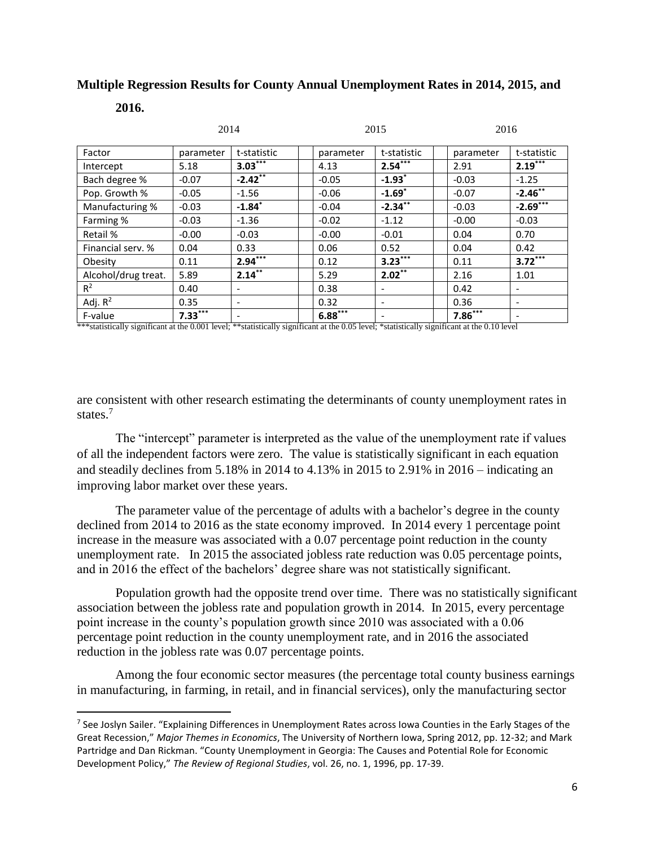### **Multiple Regression Results for County Annual Unemployment Rates in 2014, 2015, and**

#### **2016.**

 $\overline{a}$ 

|                     | 2014      |                          | 2015      |                          |  | 2016      |                              |  |
|---------------------|-----------|--------------------------|-----------|--------------------------|--|-----------|------------------------------|--|
| Factor              | parameter | t-statistic              | parameter | t-statistic              |  | parameter | t-statistic                  |  |
| Intercept           | 5.18      | $3.03***$                | 4.13      | $2.54***$                |  | 2.91      | $2.19***$                    |  |
| Bach degree %       | $-0.07$   | $-2.42***$               | $-0.05$   | $-1.93$ <sup>*</sup>     |  | $-0.03$   | $-1.25$                      |  |
| Pop. Growth %       | $-0.05$   | $-1.56$                  | $-0.06$   | $-1.69$ <sup>*</sup>     |  | $-0.07$   | $-2.46***$                   |  |
| Manufacturing %     | $-0.03$   | $-1.84$ <sup>*</sup>     | $-0.04$   | $-2.34***$               |  | $-0.03$   | $-2.69***$                   |  |
| Farming %           | $-0.03$   | $-1.36$                  | $-0.02$   | $-1.12$                  |  | $-0.00$   | $-0.03$                      |  |
| Retail %            | $-0.00$   | $-0.03$                  | $-0.00$   | $-0.01$                  |  | 0.04      | 0.70                         |  |
| Financial serv. %   | 0.04      | 0.33                     | 0.06      | 0.52                     |  | 0.04      | 0.42                         |  |
| Obesity             | 0.11      | $2.94***$                | 0.12      | $3.23***$                |  | 0.11      | $3.72***$                    |  |
| Alcohol/drug treat. | 5.89      | $2.14***$                | 5.29      | $2.02***$                |  | 2.16      | 1.01                         |  |
| $R^2$               | 0.40      | $\overline{\phantom{a}}$ | 0.38      | $\overline{\phantom{a}}$ |  | 0.42      | $\qquad \qquad \blacksquare$ |  |
| Adj. $R^2$          | 0.35      | $\overline{\phantom{a}}$ | 0.32      | $\overline{\phantom{a}}$ |  | 0.36      | $\qquad \qquad$              |  |
| F-value             | $7.33***$ | $\overline{\phantom{a}}$ | $6.88***$ | $\overline{\phantom{a}}$ |  | $7.86***$ |                              |  |

\*\*\*statistically significant at the 0.001 level; \*\*statistically significant at the 0.05 level; \*statistically significant at the 0.10 level

are consistent with other research estimating the determinants of county unemployment rates in states.<sup>7</sup>

The "intercept" parameter is interpreted as the value of the unemployment rate if values of all the independent factors were zero. The value is statistically significant in each equation and steadily declines from 5.18% in 2014 to 4.13% in 2015 to 2.91% in 2016 – indicating an improving labor market over these years.

The parameter value of the percentage of adults with a bachelor's degree in the county declined from 2014 to 2016 as the state economy improved. In 2014 every 1 percentage point increase in the measure was associated with a 0.07 percentage point reduction in the county unemployment rate. In 2015 the associated jobless rate reduction was 0.05 percentage points, and in 2016 the effect of the bachelors' degree share was not statistically significant.

Population growth had the opposite trend over time. There was no statistically significant association between the jobless rate and population growth in 2014. In 2015, every percentage point increase in the county's population growth since 2010 was associated with a 0.06 percentage point reduction in the county unemployment rate, and in 2016 the associated reduction in the jobless rate was 0.07 percentage points.

Among the four economic sector measures (the percentage total county business earnings in manufacturing, in farming, in retail, and in financial services), only the manufacturing sector

<sup>&</sup>lt;sup>7</sup> See Joslyn Sailer. "Explaining Differences in Unemployment Rates across Iowa Counties in the Early Stages of the Great Recession," *Major Themes in Economics*, The University of Northern Iowa, Spring 2012, pp. 12-32; and Mark Partridge and Dan Rickman. "County Unemployment in Georgia: The Causes and Potential Role for Economic Development Policy," *The Review of Regional Studies*, vol. 26, no. 1, 1996, pp. 17-39.